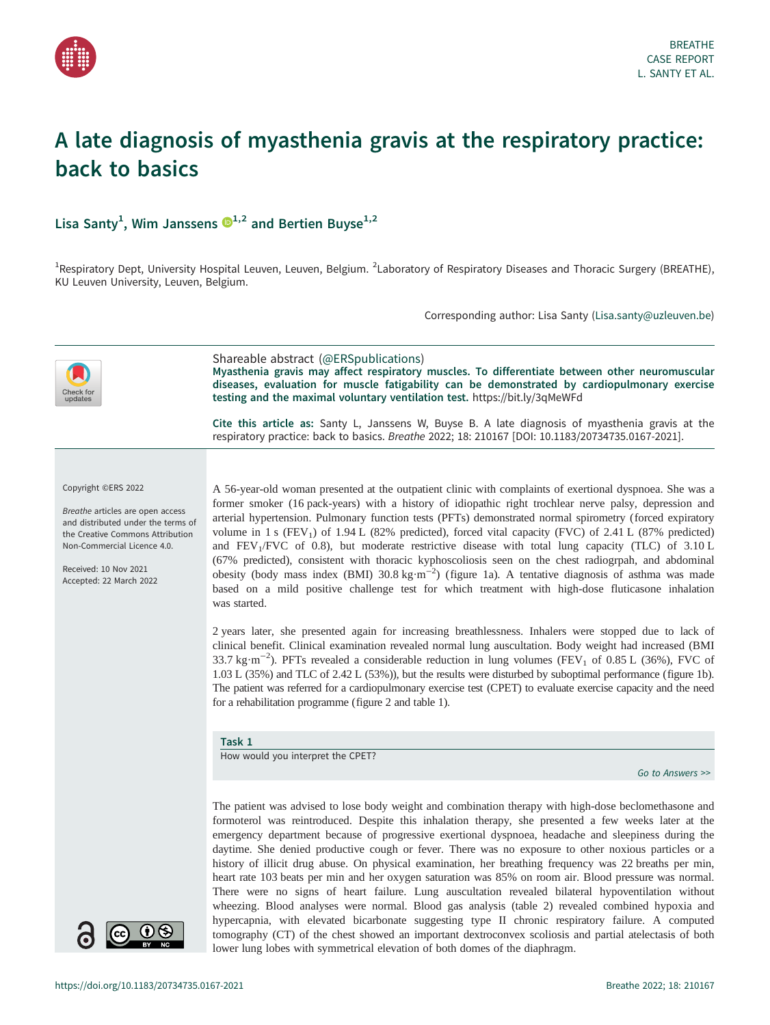<span id="page-0-0"></span>

# A late diagnosis of myasthenia gravis at the respiratory practice: back to basics

Lisa Santy<sup>[1](https://orcid.org/0000-0003-1830-2982)</sup>, Wim Janssens  $\mathbf{D}^{1,2}$  and Bertien Buyse<sup>1,2</sup>

<sup>1</sup>Respiratory Dept, University Hospital Leuven, Leuven, Belgium. <sup>2</sup>Laboratory of Respiratory Diseases and Thoracic Surgery (BREATHE), KU Leuven University, Leuven, Belgium.

Corresponding author: Lisa Santy ([Lisa.santy@uzleuven.be](mailto:Lisa.santy@uzleuven.be))



lower lung lobes with symmetrical elevation of both domes of the diaphragm.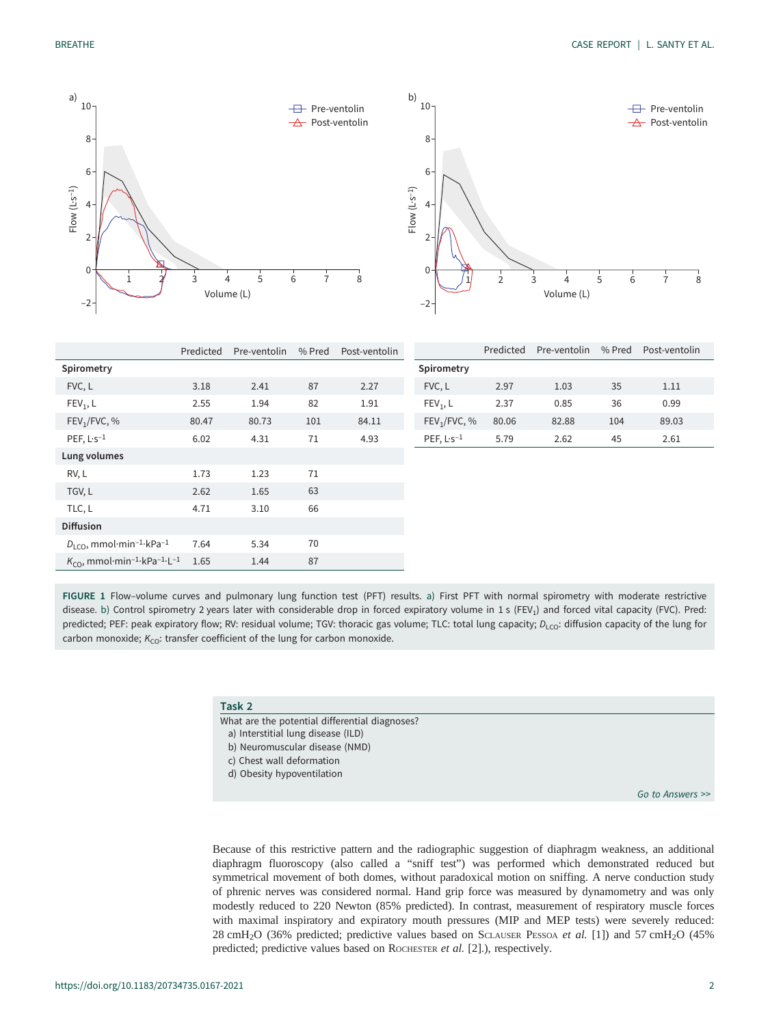<span id="page-1-0"></span>

|                                                                              | Predicted | Pre-ventolin | % Pred | Post-ventolin |                          | Predicted | Pre-ventolin | % Pred | Post-ventolin |
|------------------------------------------------------------------------------|-----------|--------------|--------|---------------|--------------------------|-----------|--------------|--------|---------------|
| Spirometry                                                                   |           |              |        |               | Spirometry               |           |              |        |               |
| FVC, L                                                                       | 3.18      | 2.41         | 87     | 2.27          | FVC, L                   | 2.97      | 1.03         | 35     | 1.11          |
| $FEV_1$ , L                                                                  | 2.55      | 1.94         | 82     | 1.91          | FEV <sub>1</sub> , L     | 2.37      | 0.85         | 36     | 0.99          |
| FEV <sub>1</sub> /FVC, %                                                     | 80.47     | 80.73        | 101    | 84.11         | FEV <sub>1</sub> /FVC, % | 80.06     | 82.88        | 104    | 89.03         |
| PEF, $L-s^{-1}$                                                              | 6.02      | 4.31         | 71     | 4.93          | PEF, $L-s^{-1}$          | 5.79      | 2.62         | 45     | 2.61          |
| Lung volumes                                                                 |           |              |        |               |                          |           |              |        |               |
| RV, L                                                                        | 1.73      | 1.23         | 71     |               |                          |           |              |        |               |
| TGV, L                                                                       | 2.62      | 1.65         | 63     |               |                          |           |              |        |               |
| TLC, L                                                                       | 4.71      | 3.10         | 66     |               |                          |           |              |        |               |
| <b>Diffusion</b>                                                             |           |              |        |               |                          |           |              |        |               |
| $D_{\text{LCO}}$ , mmol·min <sup>-1</sup> ·kPa <sup>-1</sup>                 | 7.64      | 5.34         | 70     |               |                          |           |              |        |               |
| $K_{\text{CO}}$ , mmol·min <sup>-1</sup> ·kPa <sup>-1</sup> ·L <sup>-1</sup> | 1.65      | 1.44         | 87     |               |                          |           |              |        |               |

FIGURE 1 Flow–volume curves and pulmonary lung function test (PFT) results. a) First PFT with normal spirometry with moderate restrictive disease. b) Control spirometry 2 years later with considerable drop in forced expiratory volume in 1 s (FEV<sub>1</sub>) and forced vital capacity (FVC). Pred: predicted; PEF: peak expiratory flow; RV: residual volume; TGV: thoracic gas volume; TLC: total lung capacity; D<sub>LCO</sub>: diffusion capacity of the lung for carbon monoxide;  $K_{CO}$ : transfer coefficient of the lung for carbon monoxide.

# Task 2

- What are the potential differential diagnoses?
- a) Interstitial lung disease (ILD)
- b) Neuromuscular disease (NMD)
- c) Chest wall deformation
- d) Obesity hypoventilation

[Go to Answers >>](#page-5-0)

Because of this restrictive pattern and the radiographic suggestion of diaphragm weakness, an additional diaphragm fluoroscopy (also called a "sniff test") was performed which demonstrated reduced but symmetrical movement of both domes, without paradoxical motion on sniffing. A nerve conduction study of phrenic nerves was considered normal. Hand grip force was measured by dynamometry and was only modestly reduced to 220 Newton (85% predicted). In contrast, measurement of respiratory muscle forces with maximal inspiratory and expiratory mouth pressures (MIP and MEP tests) were severely reduced: 28 cmH<sub>2</sub>O (36% predicted; predictive values based on SCLAUSER PESSOA et al. [[1\]](#page-6-0)) and 57 cmH<sub>2</sub>O (45% predicted; predictive values based on ROCHESTER et al. [\[2\]](#page-6-0).), respectively.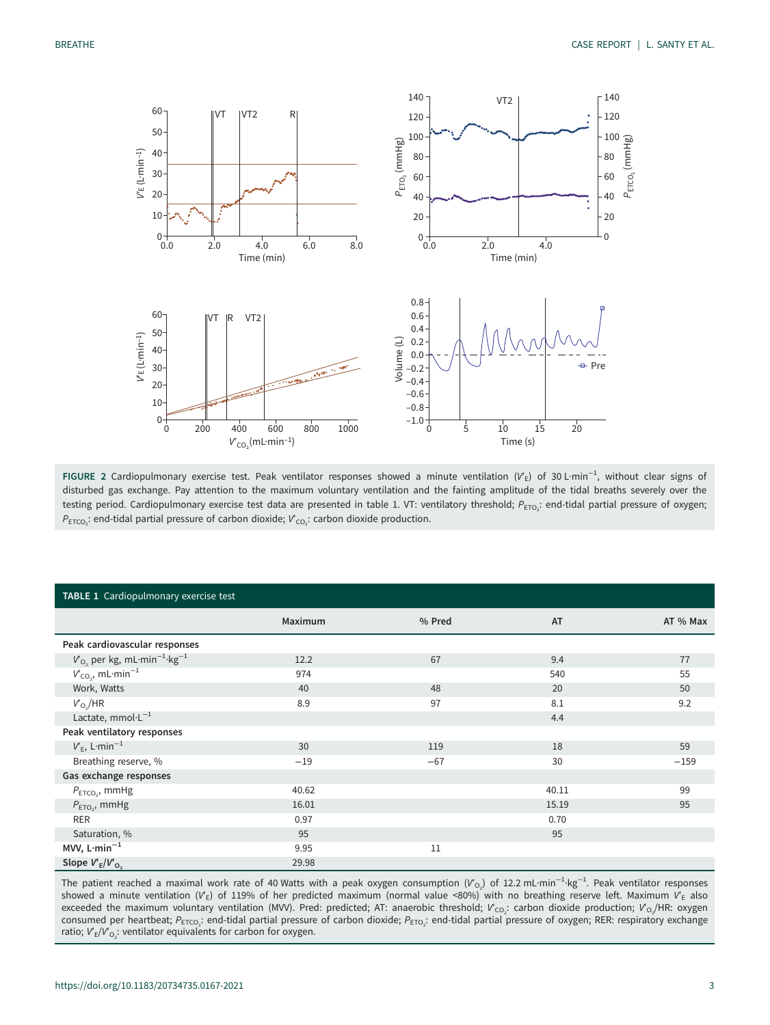<span id="page-2-0"></span>

FIGURE 2 Cardiopulmonary exercise test. Peak ventilator responses showed a minute ventilation (V′<sub>E</sub>) of 30 L·min<sup>−1</sup>, without clear signs of disturbed gas exchange. Pay attention to the maximum voluntary ventilation and the fainting amplitude of the tidal breaths severely over the testing period. Cardiopulmonary exercise test data are presented in table 1. VT: ventilatory threshold;  $P_{\text{ETO}_2}$ : end-tidal partial pressure of oxygen;  $P_{\text{ETCO}_2}$ : end-tidal partial pressure of carbon dioxide;  $V'_{\text{CO}_2}$ : carbon dioxide production.

| TABLE 1 Cardiopulmonary exercise test                    |         |        |           |          |  |
|----------------------------------------------------------|---------|--------|-----------|----------|--|
|                                                          | Maximum | % Pred | <b>AT</b> | AT % Max |  |
| Peak cardiovascular responses                            |         |        |           |          |  |
| $V_{O_2}$ per kg, mL·min <sup>-1</sup> ·kg <sup>-1</sup> | 12.2    | 67     | 9.4       | 77       |  |
| $V_{CO_2}$ , mL·min <sup>-1</sup>                        | 974     |        | 540       | 55       |  |
| Work, Watts                                              | 40      | 48     | 20        | 50       |  |
| $V_{O_2}/HR$                                             | 8.9     | 97     | 8.1       | 9.2      |  |
| Lactate, $mmol·L^{-1}$                                   |         |        | 4.4       |          |  |
| Peak ventilatory responses                               |         |        |           |          |  |
| $V_F$ , L·min <sup>-1</sup>                              | 30      | 119    | 18        | 59       |  |
| Breathing reserve, %                                     | $-19$   | $-67$  | 30        | $-159$   |  |
| Gas exchange responses                                   |         |        |           |          |  |
| $P_{ETCO_2}$ , mmHg                                      | 40.62   |        | 40.11     | 99       |  |
| $P_{ETO_2}$ , mmHg                                       | 16.01   |        | 15.19     | 95       |  |
| RER                                                      | 0.97    |        | 0.70      |          |  |
| Saturation, %                                            | 95      |        | 95        |          |  |
| MVV, $L \cdot min^{-1}$                                  | 9.95    | 11     |           |          |  |
| Slope $V'_{E}/V'_{O_{2}}$                                | 29.98   |        |           |          |  |

The patient reached a maximal work rate of 40 Watts with a peak oxygen consumption (V'<sub>O2</sub>) of 12.2 mL·min<sup>−1</sup>·kg<sup>−1</sup>. Peak ventilator responses showed a minute ventilation ( $V_E$ ) of 119% of her predicted maximum (normal value <80%) with no breathing reserve left. Maximum  $V_E$  also exceeded the maximum voluntary ventilation (MVV). Pred: predicted; AT: anaerobic threshold;  $V'_{\text{CO}_2}$ : carbon dioxide production;  $V'_{\text{O}_2}/$ HR: oxygen consumed per heartbeat;  $P_{\text{ETCO}_2}$ : end-tidal partial pressure of carbon dioxide;  $P_{\text{ETO}_2}$ : end-tidal partial pressure of oxygen; RER: respiratory exchange ratio;  $V_{\rm E}/V_{\rm O_2}$ : ventilator equivalents for carbon for oxygen.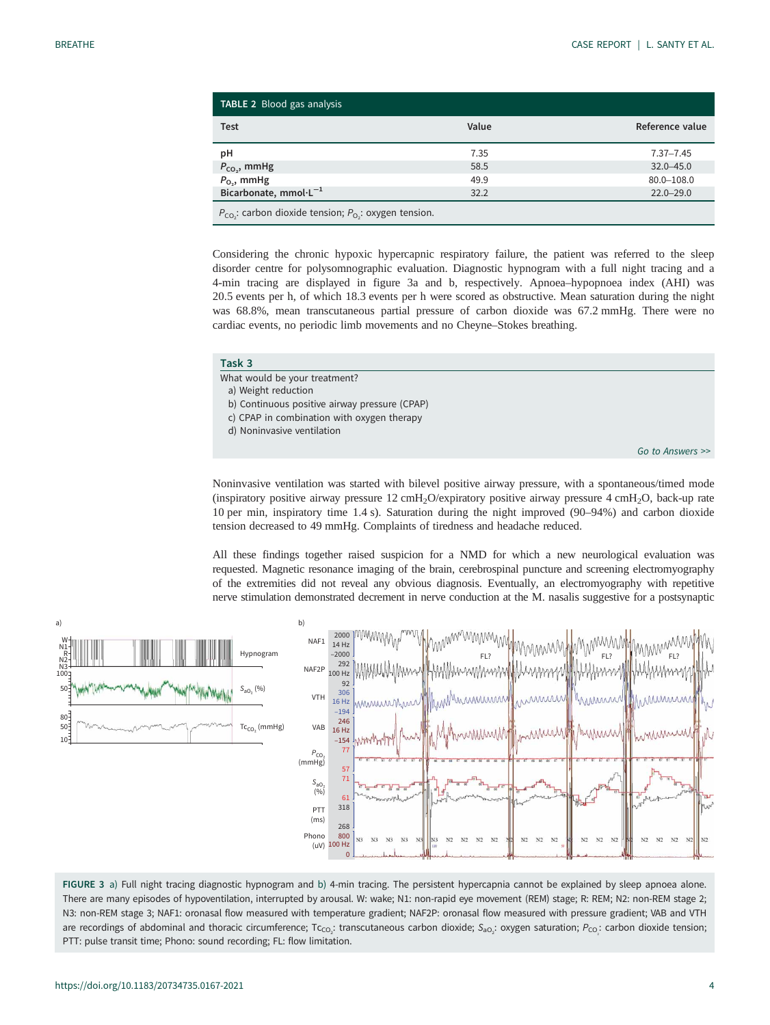<span id="page-3-0"></span>

| TABLE 2 Blood gas analysis                                                 |       |                 |  |  |  |
|----------------------------------------------------------------------------|-------|-----------------|--|--|--|
| <b>Test</b>                                                                | Value | Reference value |  |  |  |
| рH                                                                         | 7.35  | $7.37 - 7.45$   |  |  |  |
| $P_{CO}$ , mmHg                                                            | 58.5  | $32.0 - 45.0$   |  |  |  |
| $P_{O_2}$ , mmHg                                                           | 49.9  | $80.0 - 108.0$  |  |  |  |
| Bicarbonate, mmol·L <sup>-1</sup>                                          | 32.2  | $22.0 - 29.0$   |  |  |  |
| $P_{\text{CO}}$ : carbon dioxide tension; $P_{\text{O}}$ : oxygen tension. |       |                 |  |  |  |

Considering the chronic hypoxic hypercapnic respiratory failure, the patient was referred to the sleep disorder centre for polysomnographic evaluation. Diagnostic hypnogram with a full night tracing and a 4-min tracing are displayed in figure 3a and b, respectively. Apnoea–hypopnoea index (AHI) was 20.5 events per h, of which 18.3 events per h were scored as obstructive. Mean saturation during the night was 68.8%, mean transcutaneous partial pressure of carbon dioxide was 67.2 mmHg. There were no cardiac events, no periodic limb movements and no Cheyne–Stokes breathing.

| z<br>ask |  |
|----------|--|
|          |  |

What would be your treatment?

a) Weight reduction

- b) Continuous positive airway pressure (CPAP)
- c) CPAP in combination with oxygen therapy
- d) Noninvasive ventilation

[Go to Answers >>](#page-5-0)

Noninvasive ventilation was started with bilevel positive airway pressure, with a spontaneous/timed mode (inspiratory positive airway pressure  $12 \text{ cm}$ H<sub>2</sub>O/expiratory positive airway pressure  $4 \text{ cm}$ H<sub>2</sub>O, back-up rate 10 per min, inspiratory time 1.4 s). Saturation during the night improved (90–94%) and carbon dioxide tension decreased to 49 mmHg. Complaints of tiredness and headache reduced.

All these findings together raised suspicion for a NMD for which a new neurological evaluation was requested. Magnetic resonance imaging of the brain, cerebrospinal puncture and screening electromyography of the extremities did not reveal any obvious diagnosis. Eventually, an electromyography with repetitive nerve stimulation demonstrated decrement in nerve conduction at the M. nasalis suggestive for a postsynaptic



FIGURE 3 a) Full night tracing diagnostic hypnogram and b) 4-min tracing. The persistent hypercapnia cannot be explained by sleep apnoea alone. There are many episodes of hypoventilation, interrupted by arousal. W: wake; N1: non-rapid eye movement (REM) stage; R: REM; N2: non-REM stage 2; N3: non-REM stage 3; NAF1: oronasal flow measured with temperature gradient; NAF2P: oronasal flow measured with pressure gradient; VAB and VTH are recordings of abdominal and thoracic circumference; Tc<sub>co2</sub>: transcutaneous carbon dioxide; S<sub>ao2</sub>: oxygen saturation; P<sub>co2</sub>: carbon dioxide tension; PTT: pulse transit time; Phono: sound recording; FL: flow limitation.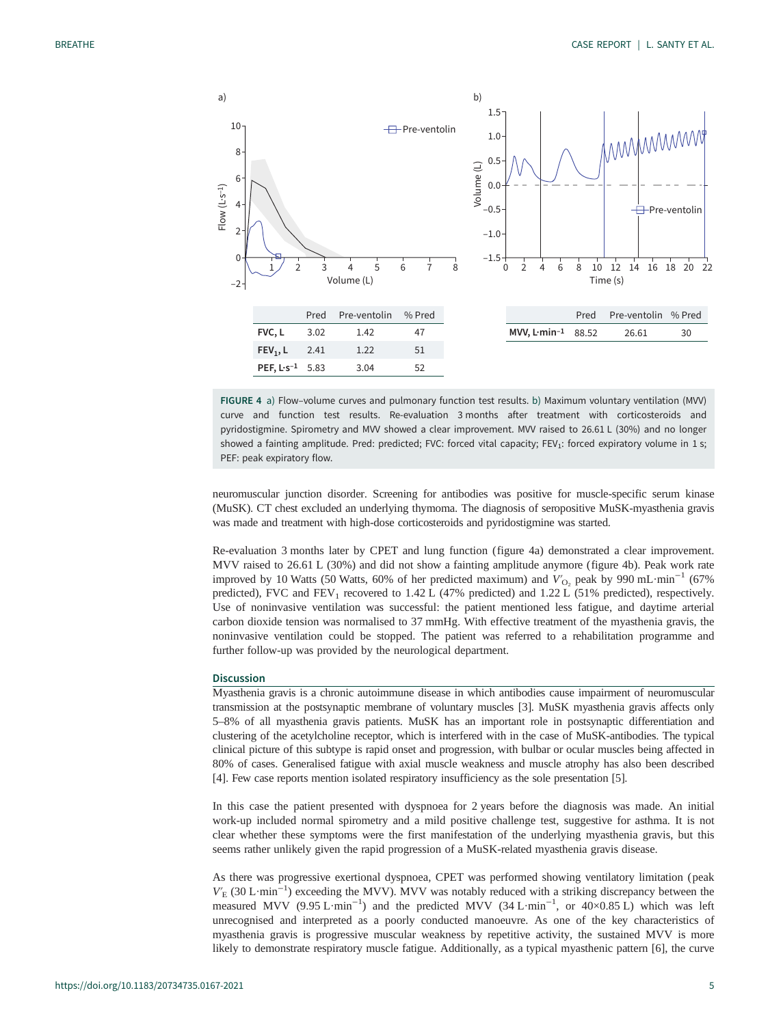

FIGURE 4 a) Flow–volume curves and pulmonary function test results. b) Maximum voluntary ventilation (MVV) curve and function test results. Re-evaluation 3 months after treatment with corticosteroids and pyridostigmine. Spirometry and MVV showed a clear improvement. MVV raised to 26.61 L (30%) and no longer showed a fainting amplitude. Pred: predicted; FVC: forced vital capacity; FEV<sub>1</sub>: forced expiratory volume in 1 s; PEF: peak expiratory flow.

neuromuscular junction disorder. Screening for antibodies was positive for muscle-specific serum kinase (MuSK). CT chest excluded an underlying thymoma. The diagnosis of seropositive MuSK-myasthenia gravis was made and treatment with high-dose corticosteroids and pyridostigmine was started.

Re-evaluation 3 months later by CPET and lung function (figure 4a) demonstrated a clear improvement. MVV raised to 26.61 L (30%) and did not show a fainting amplitude anymore (figure 4b). Peak work rate improved by 10 Watts (50 Watts, 60% of her predicted maximum) and  $V'_{\text{O}2}$  peak by 990 mL·min<sup>-1</sup> (67% predicted), FVC and  $FEV_1$  recovered to 1.42 L (47% predicted) and 1.22 L (51% predicted), respectively. Use of noninvasive ventilation was successful: the patient mentioned less fatigue, and daytime arterial carbon dioxide tension was normalised to 37 mmHg. With effective treatment of the myasthenia gravis, the noninvasive ventilation could be stopped. The patient was referred to a rehabilitation programme and further follow-up was provided by the neurological department.

#### **Discussion**

Myasthenia gravis is a chronic autoimmune disease in which antibodies cause impairment of neuromuscular transmission at the postsynaptic membrane of voluntary muscles [[3](#page-6-0)]. MuSK myasthenia gravis affects only 5–8% of all myasthenia gravis patients. MuSK has an important role in postsynaptic differentiation and clustering of the acetylcholine receptor, which is interfered with in the case of MuSK-antibodies. The typical clinical picture of this subtype is rapid onset and progression, with bulbar or ocular muscles being affected in 80% of cases. Generalised fatigue with axial muscle weakness and muscle atrophy has also been described [\[4\]](#page-6-0). Few case reports mention isolated respiratory insufficiency as the sole presentation [\[5\]](#page-6-0).

In this case the patient presented with dyspnoea for 2 years before the diagnosis was made. An initial work-up included normal spirometry and a mild positive challenge test, suggestive for asthma. It is not clear whether these symptoms were the first manifestation of the underlying myasthenia gravis, but this seems rather unlikely given the rapid progression of a MuSK-related myasthenia gravis disease.

As there was progressive exertional dyspnoea, CPET was performed showing ventilatory limitation ( peak  $V_{\rm E}$  (30 L·min<sup>-1</sup>) exceeding the MVV). MVV was notably reduced with a striking discrepancy between the measured MVV (9.95 L·min<sup>-1</sup>) and the predicted MVV (34 L·min<sup>-1</sup>, or 40×0.85 L) which was left unrecognised and interpreted as a poorly conducted manoeuvre. As one of the key characteristics of myasthenia gravis is progressive muscular weakness by repetitive activity, the sustained MVV is more likely to demonstrate respiratory muscle fatigue. Additionally, as a typical myasthenic pattern [\[6\]](#page-6-0), the curve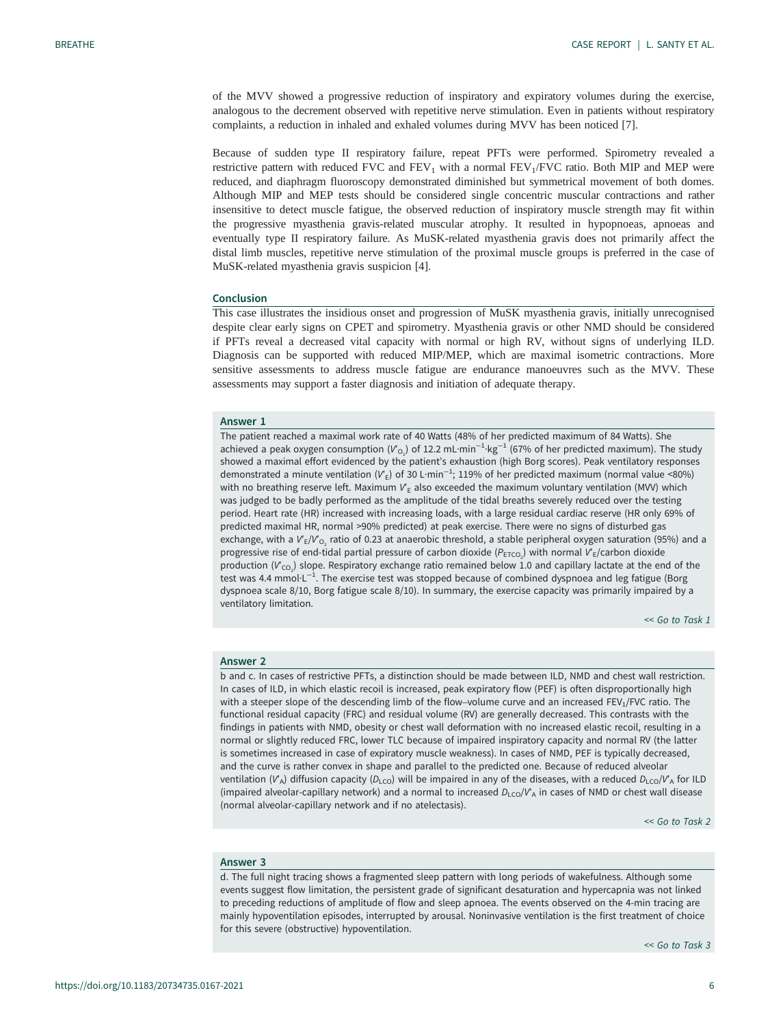<span id="page-5-0"></span>of the MVV showed a progressive reduction of inspiratory and expiratory volumes during the exercise, analogous to the decrement observed with repetitive nerve stimulation. Even in patients without respiratory complaints, a reduction in inhaled and exhaled volumes during MVV has been noticed [\[7\]](#page-6-0).

Because of sudden type II respiratory failure, repeat PFTs were performed. Spirometry revealed a restrictive pattern with reduced FVC and  $FEV<sub>1</sub>$  with a normal  $FEV<sub>1</sub>/FVC$  ratio. Both MIP and MEP were reduced, and diaphragm fluoroscopy demonstrated diminished but symmetrical movement of both domes. Although MIP and MEP tests should be considered single concentric muscular contractions and rather insensitive to detect muscle fatigue, the observed reduction of inspiratory muscle strength may fit within the progressive myasthenia gravis-related muscular atrophy. It resulted in hypopnoeas, apnoeas and eventually type II respiratory failure. As MuSK-related myasthenia gravis does not primarily affect the distal limb muscles, repetitive nerve stimulation of the proximal muscle groups is preferred in the case of MuSK-related myasthenia gravis suspicion [[4](#page-6-0)].

### Conclusion

This case illustrates the insidious onset and progression of MuSK myasthenia gravis, initially unrecognised despite clear early signs on CPET and spirometry. Myasthenia gravis or other NMD should be considered if PFTs reveal a decreased vital capacity with normal or high RV, without signs of underlying ILD. Diagnosis can be supported with reduced MIP/MEP, which are maximal isometric contractions. More sensitive assessments to address muscle fatigue are endurance manoeuvres such as the MVV. These assessments may support a faster diagnosis and initiation of adequate therapy.

# Answer 1

The patient reached a maximal work rate of 40 Watts (48% of her predicted maximum of 84 Watts). She achieved a peak oxygen consumption (V'<sub>O2</sub>) of 12.2 mL·min<sup>-1</sup>·kg<sup>-1</sup> (67% of her predicted maximum). The study showed a maximal effort evidenced by the patient's exhaustion (high Borg scores). Peak ventilatory responses demonstrated a minute ventilation (V'<sub>E</sub>) of 30 L·min $^{-1}$ ; 119% of her predicted maximum (normal value <80%) with no breathing reserve left. Maximum  $V<sub>E</sub>$  also exceeded the maximum voluntary ventilation (MVV) which was judged to be badly performed as the amplitude of the tidal breaths severely reduced over the testing period. Heart rate (HR) increased with increasing loads, with a large residual cardiac reserve (HR only 69% of predicted maximal HR, normal >90% predicted) at peak exercise. There were no signs of disturbed gas exchange, with a  $V_E/V_{O_2}$  ratio of 0.23 at anaerobic threshold, a stable peripheral oxygen saturation (95%) and a progressive rise of end-tidal partial pressure of carbon dioxide ( $P_{\text{ETCO}_2}$ ) with normal  $V_{\text{E}}$ /carbon dioxide production ( $V_{\rm CO_2}$ ) slope. Respiratory exchange ratio remained below 1.0 and capillary lactate at the end of the test was 4.4 mmol·L<sup>-1</sup>. The exercise test was stopped because of combined dyspnoea and leg fatigue (Borg dyspnoea scale 8/10, Borg fatigue scale 8/10). In summary, the exercise capacity was primarily impaired by a ventilatory limitation.

[<< Go to Task 1](#page-0-0)

#### Answer 2

b and c. In cases of restrictive PFTs, a distinction should be made between ILD, NMD and chest wall restriction. In cases of ILD, in which elastic recoil is increased, peak expiratory flow (PEF) is often disproportionally high with a steeper slope of the descending limb of the flow–volume curve and an increased FEV<sub>1</sub>/FVC ratio. The functional residual capacity (FRC) and residual volume (RV) are generally decreased. This contrasts with the findings in patients with NMD, obesity or chest wall deformation with no increased elastic recoil, resulting in a normal or slightly reduced FRC, lower TLC because of impaired inspiratory capacity and normal RV (the latter is sometimes increased in case of expiratory muscle weakness). In cases of NMD, PEF is typically decreased, and the curve is rather convex in shape and parallel to the predicted one. Because of reduced alveolar ventilation (V<sup>'</sup>A) diffusion capacity (D<sub>LCO</sub>) will be impaired in any of the diseases, with a reduced D<sub>LCO</sub>/V<sup>'</sup>A for ILD (impaired alveolar-capillary network) and a normal to increased  $D_{\text{LCO}}/V_A$  in cases of NMD or chest wall disease (normal alveolar-capillary network and if no atelectasis).

[<< Go to Task 2](#page-1-0)

## Answer 3

d. The full night tracing shows a fragmented sleep pattern with long periods of wakefulness. Although some events suggest flow limitation, the persistent grade of significant desaturation and hypercapnia was not linked to preceding reductions of amplitude of flow and sleep apnoea. The events observed on the 4-min tracing are mainly hypoventilation episodes, interrupted by arousal. Noninvasive ventilation is the first treatment of choice for this severe (obstructive) hypoventilation.